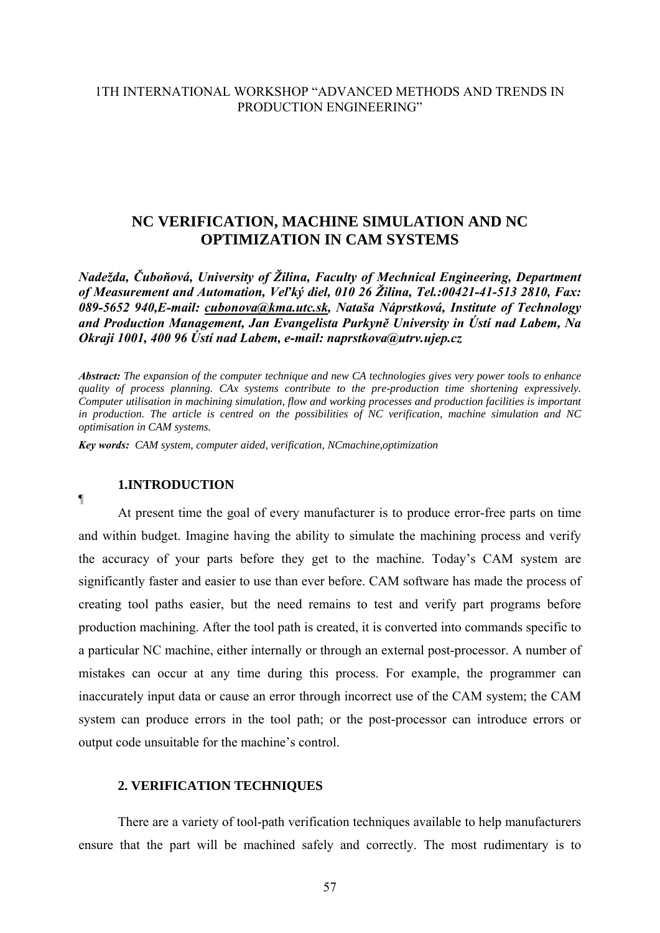## 1TH INTERNATIONAL WORKSHOP "ADVANCED METHODS AND TRENDS IN PRODUCTION ENGINEERING"

# **NC VERIFICATION, MACHINE SIMULATION AND NC OPTIMIZATION IN CAM SYSTEMS**

*Nadežda, Čuboňová, University of Žilina, Faculty of Mechnical Engineering, Department of Measurement and Automation, Veľký diel, 010 26 Žilina, Tel.:00421-41-513 2810, Fax: 089-5652 940,E-mail: [cubonova@kma.utc.sk,](mailto:cubonova@kma.utc.sk) Nataša Náprstková, Institute of Technology and Production Management, Jan Evangelista Purkyně University in Ústí nad Labem, Na Okraji 1001, 400 96 Ústí nad Labem, e-mail: naprstkova@utrv.ujep.cz* 

*Abstract: The expansion of the computer technique and new CA technologies gives very power tools to enhance quality of process planning. CAx systems contribute to the pre-production time shortening expressively. Computer utilisation in machining simulation, flow and working processes and production facilities is important in production. The article is centred on the possibilities of NC verification, machine simulation and NC optimisation in CAM systems.* 

*Key words: CAM system, computer aided, verification, NCmachine,optimization*

#### **1.INTRODUCTION**

¶

At present time the goal of every manufacturer is to produce error-free parts on time and within budget. Imagine having the ability to simulate the machining process and verify the accuracy of your parts before they get to the machine. Today's CAM system are significantly faster and easier to use than ever before. CAM software has made the process of creating tool paths easier, but the need remains to test and verify part programs before production machining. After the tool path is created, it is converted into commands specific to a particular NC machine, either internally or through an external post-processor. A number of mistakes can occur at any time during this process. For example, the programmer can inaccurately input data or cause an error through incorrect use of the CAM system; the CAM system can produce errors in the tool path; or the post-processor can introduce errors or output code unsuitable for the machine's control.

#### **2. VERIFICATION TECHNIQUES**

There are a variety of tool-path verification techniques available to help manufacturers ensure that the part will be machined safely and correctly. The most rudimentary is to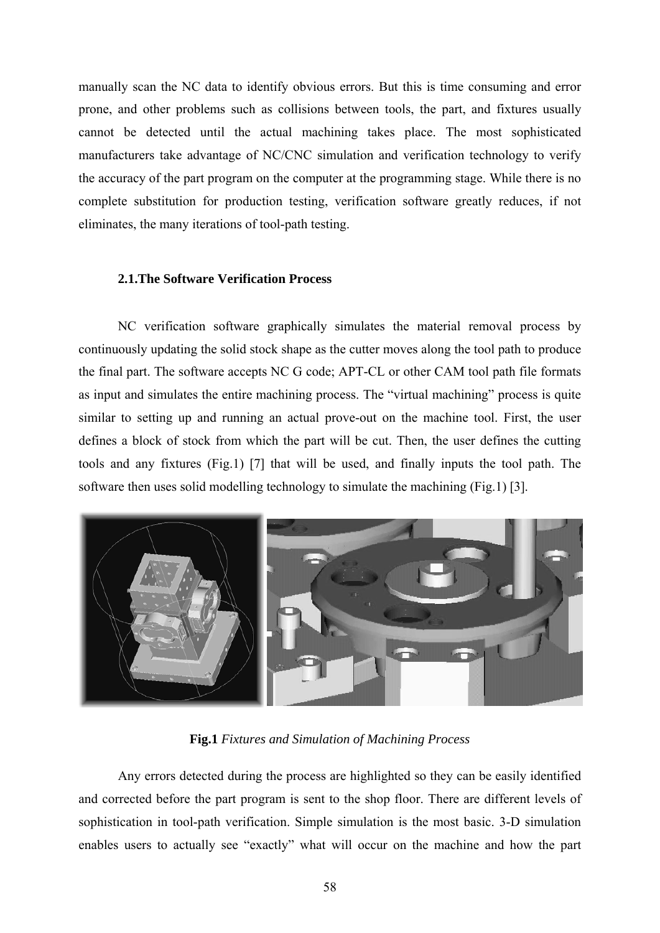manually scan the NC data to identify obvious errors. But this is time consuming and error prone, and other problems such as collisions between tools, the part, and fixtures usually cannot be detected until the actual machining takes place. The most sophisticated manufacturers take advantage of NC/CNC simulation and verification technology to verify the accuracy of the part program on the computer at the programming stage. While there is no complete substitution for production testing, verification software greatly reduces, if not eliminates, the many iterations of tool-path testing.

#### **2.1.The Software Verification Process**

NC verification software graphically simulates the material removal process by continuously updating the solid stock shape as the cutter moves along the tool path to produce the final part. The software accepts NC G code; APT-CL or other CAM tool path file formats as input and simulates the entire machining process. The "virtual machining" process is quite similar to setting up and running an actual prove-out on the machine tool. First, the user defines a block of stock from which the part will be cut. Then, the user defines the cutting tools and any fixtures (Fig.1) [7] that will be used, and finally inputs the tool path. The software then uses solid modelling technology to simulate the machining (Fig.1) [3].



**Fig.1** *Fixtures and Simulation of Machining Process* 

Any errors detected during the process are highlighted so they can be easily identified and corrected before the part program is sent to the shop floor. There are different levels of sophistication in tool-path verification. Simple simulation is the most basic. 3-D simulation enables users to actually see "exactly" what will occur on the machine and how the part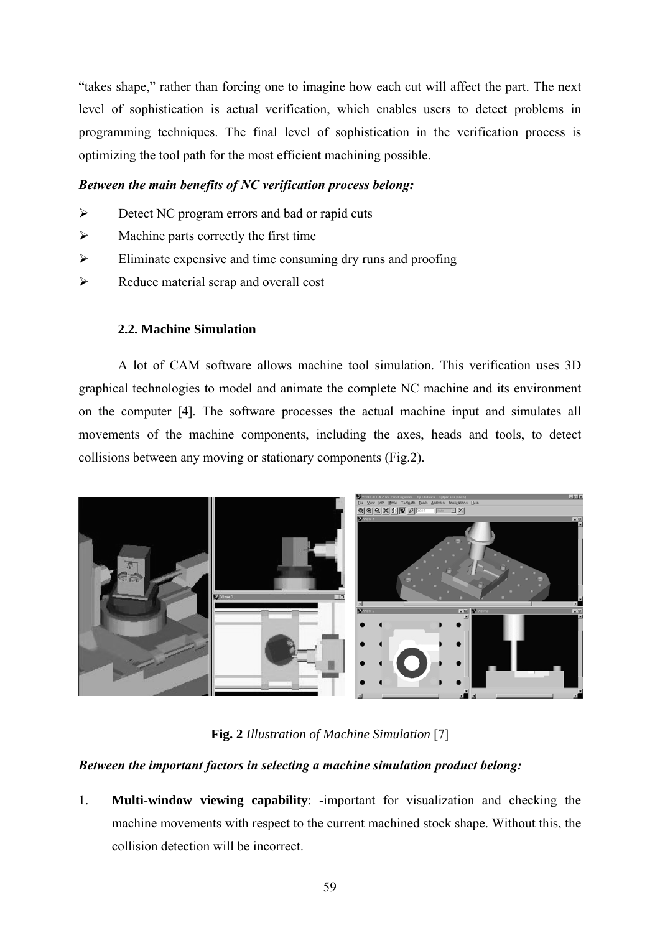"takes shape," rather than forcing one to imagine how each cut will affect the part. The next level of sophistication is actual verification, which enables users to detect problems in programming techniques. The final level of sophistication in the verification process is optimizing the tool path for the most efficient machining possible.

## *Between the main benefits of NC verification process belong:*

- ¾ Detect NC program errors and bad or rapid cuts
- $\triangleright$  Machine parts correctly the first time
- $\triangleright$  Eliminate expensive and time consuming dry runs and proofing
- $\triangleright$  Reduce material scrap and overall cost

## **2.2. Machine Simulation**

A lot of CAM software allows machine tool simulation. This verification uses 3D graphical technologies to model and animate the complete NC machine and its environment on the computer [4]. The software processes the actual machine input and simulates all movements of the machine components, including the axes, heads and tools, to detect collisions between any moving or stationary components (Fig.2).



**Fig. 2** *Illustration of Machine Simulation* [7]

## *Between the important factors in selecting a machine simulation product belong:*

1. **Multi-window viewing capability**: -important for visualization and checking the machine movements with respect to the current machined stock shape. Without this, the collision detection will be incorrect.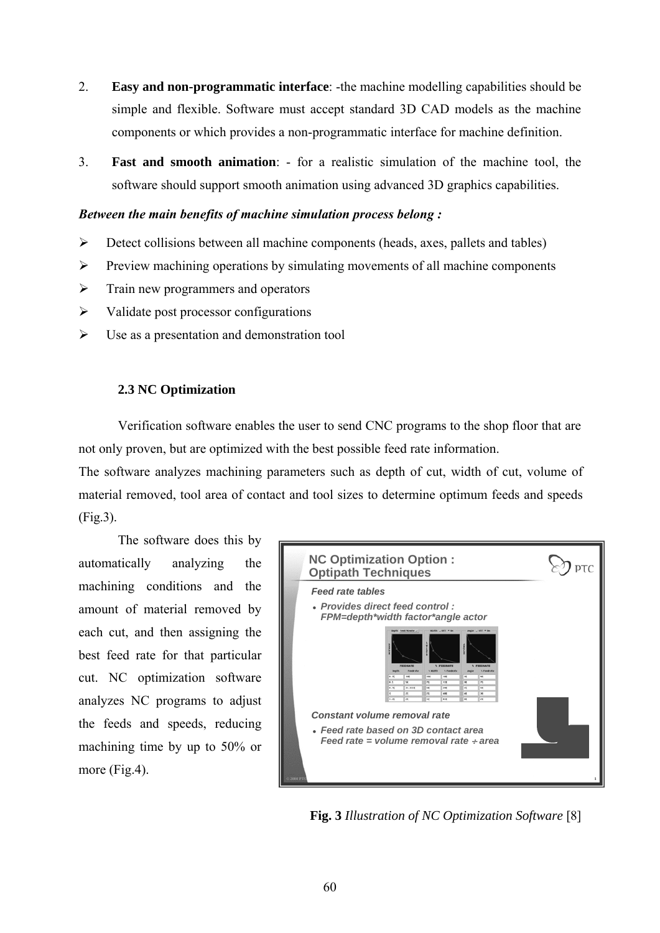- 2. **Easy and non-programmatic interface**: -the machine modelling capabilities should be simple and flexible. Software must accept standard 3D CAD models as the machine components or which provides a non-programmatic interface for machine definition.
- 3. **Fast and smooth animation**: for a realistic simulation of the machine tool, the software should support smooth animation using advanced 3D graphics capabilities.

#### *Between the main benefits of machine simulation process belong :*

- $\triangleright$  Detect collisions between all machine components (heads, axes, pallets and tables)
- ¾ Preview machining operations by simulating movements of all machine components
- $\triangleright$  Train new programmers and operators
- $\triangleright$  Validate post processor configurations
- $\triangleright$  Use as a presentation and demonstration tool

## **2.3 NC Optimization**

Verification software enables the user to send CNC programs to the shop floor that are not only proven, but are optimized with the best possible feed rate information.

The software analyzes machining parameters such as depth of cut, width of cut, volume of material removed, tool area of contact and tool sizes to determine optimum feeds and speeds (Fig.3).

The software does this by automatically analyzing the machining conditions and the amount of material removed by each cut, and then assigning the best feed rate for that particular cut. NC optimization software analyzes NC programs to adjust the feeds and speeds, reducing machining time by up to 50% or more (Fig.4).



**Fig. 3** *Illustration of NC Optimization Software* [8]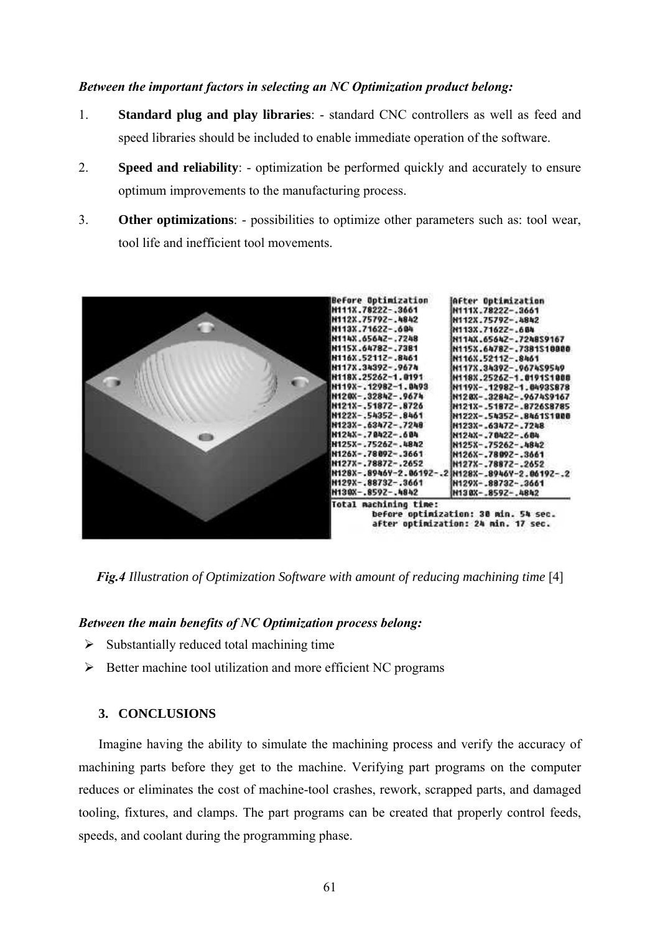#### *Between the important factors in selecting an NC Optimization product belong:*

- 1. **Standard plug and play libraries**: standard CNC controllers as well as feed and speed libraries should be included to enable immediate operation of the software.
- 2. **Speed and reliability**: optimization be performed quickly and accurately to ensure optimum improvements to the manufacturing process.
- 3. **Other optimizations**: possibilities to optimize other parameters such as: tool wear, tool life and inefficient tool movements.



*Fig.4 Illustration of Optimization Software with amount of reducing machining time* [4]

#### *Between the main benefits of NC Optimization process belong:*

- $\triangleright$  Substantially reduced total machining time
- $\triangleright$  Better machine tool utilization and more efficient NC programs

## **3. CONCLUSIONS**

Imagine having the ability to simulate the machining process and verify the accuracy of machining parts before they get to the machine. Verifying part programs on the computer reduces or eliminates the cost of machine-tool crashes, rework, scrapped parts, and damaged tooling, fixtures, and clamps. The part programs can be created that properly control feeds, speeds, and coolant during the programming phase.